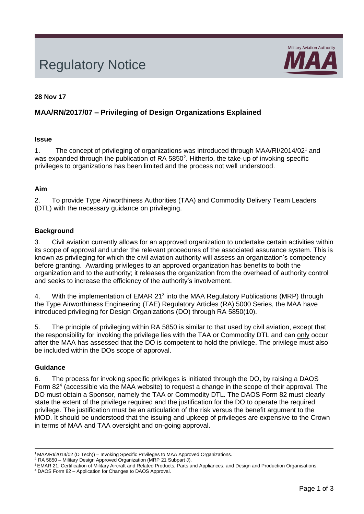# Regulatory Notice



#### **28 Nov 17**

# **MAA/RN/2017/07 – Privileging of Design Organizations Explained**

#### **Issue**

1. The concept of privileging of organizations was introduced through MAA/RI/2014/02<sup>1</sup> and was expanded through the publication of RA  $5850<sup>2</sup>$ . Hitherto, the take-up of invoking specific privileges to organizations has been limited and the process not well understood.

#### **Aim**

2. To provide Type Airworthiness Authorities (TAA) and Commodity Delivery Team Leaders (DTL) with the necessary guidance on privileging.

# **Background**

3. Civil aviation currently allows for an approved organization to undertake certain activities within its scope of approval and under the relevant procedures of the associated assurance system. This is known as privileging for which the civil aviation authority will assess an organization's competency before granting. Awarding privileges to an approved organization has benefits to both the organization and to the authority; it releases the organization from the overhead of authority control and seeks to increase the efficiency of the authority's involvement.

4. With the implementation of EMAR 21<sup>3</sup> into the MAA Regulatory Publications (MRP) through the Type Airworthiness Engineering (TAE) Regulatory Articles (RA) 5000 Series, the MAA have introduced privileging for Design Organizations (DO) through RA 5850(10).

after the MAA has assessed that the DO is competent to hold the privilege. The privilege must also be included within the DOs scope of approval. 5. The principle of privileging within RA 5850 is similar to that used by civil aviation, except that the responsibility for invoking the privilege lies with the TAA or Commodity DTL and can only occur

#### **Guidance**

6. The process for invoking specific privileges is initiated through the DO, by raising a DAOS Form 82<sup>4</sup> (accessible via the MAA website) to request a change in the scope of their approval. The DO must obtain a Sponsor, namely the TAA or Commodity DTL. The DAOS Form 82 must clearly state the extent of the privilege required and the justification for the DO to operate the required privilege. The justification must be an articulation of the risk versus the benefit argument to the MOD. It should be understood that the issuing and upkeep of privileges are expensive to the Crown in terms of MAA and TAA oversight and on-going approval.

<sup>&</sup>lt;sup>1</sup> MAA/RI/2014/02 (D Tech)) – Invoking Specific Privileges to MAA Approved Organizations.

<sup>&</sup>lt;sup>2</sup> RA 5850 – Military Design Approved Organization (MRP 21 Subpart J).

<sup>&</sup>lt;sup>3</sup> EMAR 21: Certification of Military Aircraft and Related Products, Parts and Appliances, and Design and Production Organisations.

<sup>4</sup> DAOS Form 82 – Application for Changes to DAOS Approval.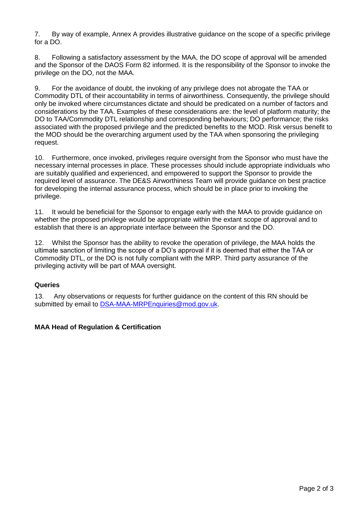7. By way of example, Annex A provides illustrative guidance on the scope of a specific privilege for a DO.

8. Following a satisfactory assessment by the MAA, the DO scope of approval will be amended and the Sponsor of the DAOS Form 82 informed. It is the responsibility of the Sponsor to invoke the privilege on the DO, not the MAA.

9. For the avoidance of doubt, the invoking of any privilege does not abrogate the TAA or Commodity DTL of their accountability in terms of airworthiness. Consequently, the privilege should only be invoked where circumstances dictate and should be predicated on a number of factors and considerations by the TAA. Examples of these considerations are: the level of platform maturity; the DO to TAA/Commodity DTL relationship and corresponding behaviours; DO performance; the risks associated with the proposed privilege and the predicted benefits to the MOD. Risk versus benefit to the MOD should be the overarching argument used by the TAA when sponsoring the privileging request.

10. Furthermore, once invoked, privileges require oversight from the Sponsor who must have the necessary internal processes in place. These processes should include appropriate individuals who are suitably qualified and experienced, and empowered to support the Sponsor to provide the required level of assurance. The DE&S Airworthiness Team will provide guidance on best practice for developing the internal assurance process, which should be in place prior to invoking the privilege.

11. It would be beneficial for the Sponsor to engage early with the MAA to provide guidance on whether the proposed privilege would be appropriate within the extant scope of approval and to establish that there is an appropriate interface between the Sponsor and the DO.

12. Whilst the Sponsor has the ability to revoke the operation of privilege, the MAA holds the ultimate sanction of limiting the scope of a DO's approval if it is deemed that either the TAA or Commodity DTL, or the DO is not fully compliant with the MRP. Third party assurance of the privileging activity will be part of MAA oversight.

# **Queries**

13. Any observations or requests for further guidance on the content of this RN should be submitted by email to [DSA-MAA-MRPEnquiries@mod.gov.uk.](mailto:DSA-MAA-MRPEnquiries@mod.gov.uk)

#### **MAA Head of Regulation & Certification**